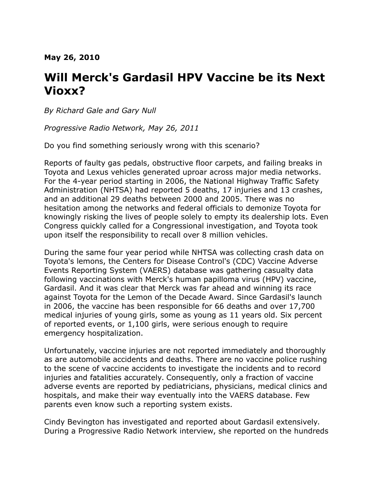#### **May 26, 2010**

# **Will Merck's Gardasil HPV Vaccine be its Next Vioxx?**

*By Richard Gale and Gary Null*

*Progressive Radio Network, May 26, 2011*

Do you find something seriously wrong with this scenario?

Reports of faulty gas pedals, obstructive floor carpets, and failing breaks in Toyota and Lexus vehicles generated uproar across major media networks. For the 4-year period starting in 2006, the National Highway Traffic Safety Administration (NHTSA) had reported 5 deaths, 17 injuries and 13 crashes, and an additional 29 deaths between 2000 and 2005. There was no hesitation among the networks and federal officials to demonize Toyota for knowingly risking the lives of people solely to empty its dealership lots. Even Congress quickly called for a Congressional investigation, and Toyota took upon itself the responsibility to recall over 8 million vehicles.

During the same four year period while NHTSA was collecting crash data on Toyota's lemons, the Centers for Disease Control's (CDC) Vaccine Adverse Events Reporting System (VAERS) database was gathering casualty data following vaccinations with Merck's human papilloma virus (HPV) vaccine, Gardasil. And it was clear that Merck was far ahead and winning its race against Toyota for the Lemon of the Decade Award. Since Gardasil's launch in 2006, the vaccine has been responsible for 66 deaths and over 17,700 medical injuries of young girls, some as young as 11 years old. Six percent of reported events, or 1,100 girls, were serious enough to require emergency hospitalization.

Unfortunately, vaccine injuries are not reported immediately and thoroughly as are automobile accidents and deaths. There are no vaccine police rushing to the scene of vaccine accidents to investigate the incidents and to record injuries and fatalities accurately. Consequently, only a fraction of vaccine adverse events are reported by pediatricians, physicians, medical clinics and hospitals, and make their way eventually into the VAERS database. Few parents even know such a reporting system exists.

Cindy Bevington has investigated and reported about Gardasil extensively. During a Progressive Radio Network interview, she reported on the hundreds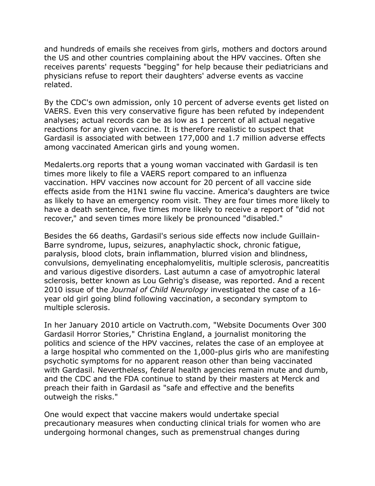and hundreds of emails she receives from girls, mothers and doctors around the US and other countries complaining about the HPV vaccines. Often she receives parents' requests "begging" for help because their pediatricians and physicians refuse to report their daughters' adverse events as vaccine related.

By the CDC's own admission, only 10 percent of adverse events get listed on VAERS. Even this very conservative figure has been refuted by independent analyses; actual records can be as low as 1 percent of all actual negative reactions for any given vaccine. It is therefore realistic to suspect that Gardasil is associated with between 177,000 and 1.7 million adverse effects among vaccinated American girls and young women.

Medalerts.org reports that a young woman vaccinated with Gardasil is ten times more likely to file a VAERS report compared to an influenza vaccination. HPV vaccines now account for 20 percent of all vaccine side effects aside from the H1N1 swine flu vaccine. America's daughters are twice as likely to have an emergency room visit. They are four times more likely to have a death sentence, five times more likely to receive a report of "did not recover," and seven times more likely be pronounced "disabled."

Besides the 66 deaths, Gardasil's serious side effects now include Guillain-Barre syndrome, lupus, seizures, anaphylactic shock, chronic fatigue, paralysis, blood clots, brain inflammation, blurred vision and blindness, convulsions, demyelinating encephalomyelitis, multiple sclerosis, pancreatitis and various digestive disorders. Last autumn a case of amyotrophic lateral sclerosis, better known as Lou Gehrig's disease, was reported. And a recent 2010 issue of the *Journal of Child Neurology* investigated the case of a 16 year old girl going blind following vaccination, a secondary symptom to multiple sclerosis.

In her January 2010 article on Vactruth.com, "Website Documents Over 300 Gardasil Horror Stories," Christina England, a journalist monitoring the politics and science of the HPV vaccines, relates the case of an employee at a large hospital who commented on the 1,000-plus girls who are manifesting psychotic symptoms for no apparent reason other than being vaccinated with Gardasil. Nevertheless, federal health agencies remain mute and dumb, and the CDC and the FDA continue to stand by their masters at Merck and preach their faith in Gardasil as "safe and effective and the benefits outweigh the risks."

One would expect that vaccine makers would undertake special precautionary measures when conducting clinical trials for women who are undergoing hormonal changes, such as premenstrual changes during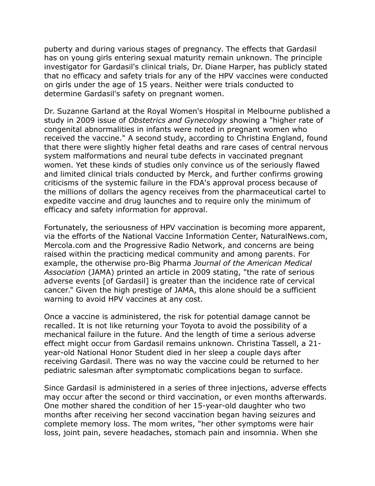puberty and during various stages of pregnancy. The effects that Gardasil has on young girls entering sexual maturity remain unknown. The principle investigator for Gardasil's clinical trials, Dr. Diane Harper, has publicly stated that no efficacy and safety trials for any of the HPV vaccines were conducted on girls under the age of 15 years. Neither were trials conducted to determine Gardasil's safety on pregnant women.

Dr. Suzanne Garland at the Royal Women's Hospital in Melbourne published a study in 2009 issue of *Obstetrics and Gynecology* showing a "higher rate of congenital abnormalities in infants were noted in pregnant women who received the vaccine." A second study, according to Christina England, found that there were slightly higher fetal deaths and rare cases of central nervous system malformations and neural tube defects in vaccinated pregnant women. Yet these kinds of studies only convince us of the seriously flawed and limited clinical trials conducted by Merck, and further confirms growing criticisms of the systemic failure in the FDA's approval process because of the millions of dollars the agency receives from the pharmaceutical cartel to expedite vaccine and drug launches and to require only the minimum of efficacy and safety information for approval.

Fortunately, the seriousness of HPV vaccination is becoming more apparent, via the efforts of the National Vaccine Information Center, NaturalNews.com, Mercola.com and the Progressive Radio Network, and concerns are being raised within the practicing medical community and among parents. For example, the otherwise pro-Big Pharma *Journal of the American Medical Association* (JAMA) printed an article in 2009 stating, "the rate of serious adverse events [of Gardasil] is greater than the incidence rate of cervical cancer." Given the high prestige of JAMA, this alone should be a sufficient warning to avoid HPV vaccines at any cost.

Once a vaccine is administered, the risk for potential damage cannot be recalled. It is not like returning your Toyota to avoid the possibility of a mechanical failure in the future. And the length of time a serious adverse effect might occur from Gardasil remains unknown. Christina Tassell, a 21 year-old National Honor Student died in her sleep a couple days after receiving Gardasil. There was no way the vaccine could be returned to her pediatric salesman after symptomatic complications began to surface.

Since Gardasil is administered in a series of three injections, adverse effects may occur after the second or third vaccination, or even months afterwards. One mother shared the condition of her 15-year-old daughter who two months after receiving her second vaccination began having seizures and complete memory loss. The mom writes, "her other symptoms were hair loss, joint pain, severe headaches, stomach pain and insomnia. When she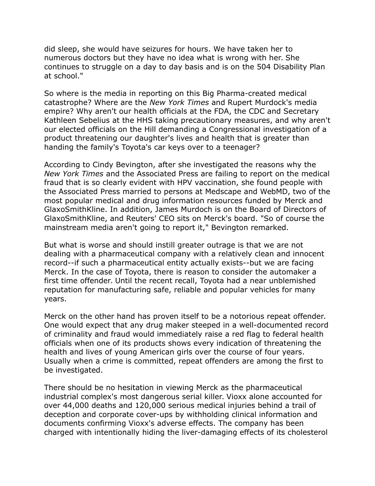did sleep, she would have seizures for hours. We have taken her to numerous doctors but they have no idea what is wrong with her. She continues to struggle on a day to day basis and is on the 504 Disability Plan at school."

So where is the media in reporting on this Big Pharma-created medical catastrophe? Where are the *New York Times* and Rupert Murdock's media empire? Why aren't our health officials at the FDA, the CDC and Secretary Kathleen Sebelius at the HHS taking precautionary measures, and why aren't our elected officials on the Hill demanding a Congressional investigation of a product threatening our daughter's lives and health that is greater than handing the family's Toyota's car keys over to a teenager?

According to Cindy Bevington, after she investigated the reasons why the *New York Times* and the Associated Press are failing to report on the medical fraud that is so clearly evident with HPV vaccination, she found people with the Associated Press married to persons at Medscape and WebMD, two of the most popular medical and drug information resources funded by Merck and GlaxoSmithKline. In addition, James Murdoch is on the Board of Directors of GlaxoSmithKline, and Reuters' CEO sits on Merck's board. "So of course the mainstream media aren't going to report it," Bevington remarked.

But what is worse and should instill greater outrage is that we are not dealing with a pharmaceutical company with a relatively clean and innocent record--if such a pharmaceutical entity actually exists--but we are facing Merck. In the case of Toyota, there is reason to consider the automaker a first time offender. Until the recent recall, Toyota had a near unblemished reputation for manufacturing safe, reliable and popular vehicles for many years.

Merck on the other hand has proven itself to be a notorious repeat offender. One would expect that any drug maker steeped in a well-documented record of criminality and fraud would immediately raise a red flag to federal health officials when one of its products shows every indication of threatening the health and lives of young American girls over the course of four years. Usually when a crime is committed, repeat offenders are among the first to be investigated.

There should be no hesitation in viewing Merck as the pharmaceutical industrial complex's most dangerous serial killer. Vioxx alone accounted for over 44,000 deaths and 120,000 serious medical injuries behind a trail of deception and corporate cover-ups by withholding clinical information and documents confirming Vioxx's adverse effects. The company has been charged with intentionally hiding the liver-damaging effects of its cholesterol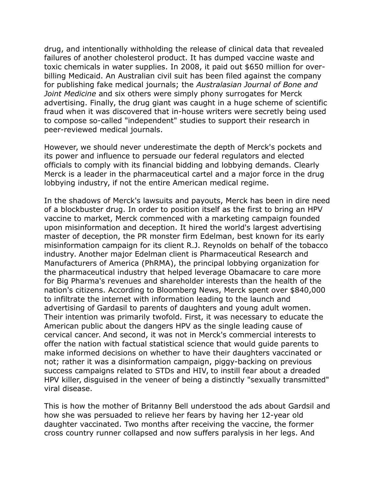drug, and intentionally withholding the release of clinical data that revealed failures of another cholesterol product. It has dumped vaccine waste and toxic chemicals in water supplies. In 2008, it paid out \$650 million for overbilling Medicaid. An Australian civil suit has been filed against the company for publishing fake medical journals; the *Australasian Journal of Bone and Joint Medicine* and six others were simply phony surrogates for Merck advertising. Finally, the drug giant was caught in a huge scheme of scientific fraud when it was discovered that in-house writers were secretly being used to compose so-called "independent" studies to support their research in peer-reviewed medical journals.

However, we should never underestimate the depth of Merck's pockets and its power and influence to persuade our federal regulators and elected officials to comply with its financial bidding and lobbying demands. Clearly Merck is a leader in the pharmaceutical cartel and a major force in the drug lobbying industry, if not the entire American medical regime.

In the shadows of Merck's lawsuits and payouts, Merck has been in dire need of a blockbuster drug. In order to position itself as the first to bring an HPV vaccine to market, Merck commenced with a marketing campaign founded upon misinformation and deception. It hired the world's largest advertising master of deception, the PR monster firm Edelman, best known for its early misinformation campaign for its client R.J. Reynolds on behalf of the tobacco industry. Another major Edelman client is Pharmaceutical Research and Manufacturers of America (PhRMA), the principal lobbying organization for the pharmaceutical industry that helped leverage Obamacare to care more for Big Pharma's revenues and shareholder interests than the health of the nation's citizens. According to Bloomberg News, Merck spent over \$840,000 to infiltrate the internet with information leading to the launch and advertising of Gardasil to parents of daughters and young adult women. Their intention was primarily twofold. First, it was necessary to educate the American public about the dangers HPV as the single leading cause of cervical cancer. And second, it was not in Merck's commercial interests to offer the nation with factual statistical science that would guide parents to make informed decisions on whether to have their daughters vaccinated or not; rather it was a disinformation campaign, piggy-backing on previous success campaigns related to STDs and HIV, to instill fear about a dreaded HPV killer, disguised in the veneer of being a distinctly "sexually transmitted" viral disease.

This is how the mother of Britanny Bell understood the ads about Gardsil and how she was persuaded to relieve her fears by having her 12-year old daughter vaccinated. Two months after receiving the vaccine, the former cross country runner collapsed and now suffers paralysis in her legs. And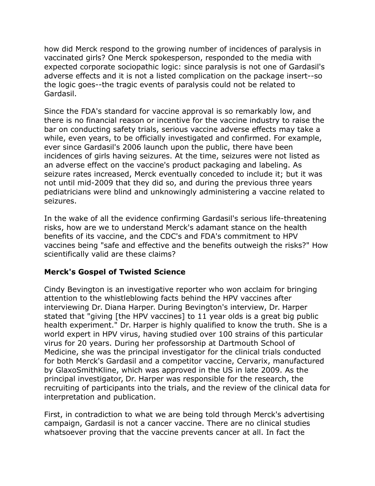how did Merck respond to the growing number of incidences of paralysis in vaccinated girls? One Merck spokesperson, responded to the media with expected corporate sociopathic logic: since paralysis is not one of Gardasil's adverse effects and it is not a listed complication on the package insert--so the logic goes--the tragic events of paralysis could not be related to Gardasil.

Since the FDA's standard for vaccine approval is so remarkably low, and there is no financial reason or incentive for the vaccine industry to raise the bar on conducting safety trials, serious vaccine adverse effects may take a while, even years, to be officially investigated and confirmed. For example, ever since Gardasil's 2006 launch upon the public, there have been incidences of girls having seizures. At the time, seizures were not listed as an adverse effect on the vaccine's product packaging and labeling. As seizure rates increased, Merck eventually conceded to include it; but it was not until mid-2009 that they did so, and during the previous three years pediatricians were blind and unknowingly administering a vaccine related to seizures.

In the wake of all the evidence confirming Gardasil's serious life-threatening risks, how are we to understand Merck's adamant stance on the health benefits of its vaccine, and the CDC's and FDA's commitment to HPV vaccines being "safe and effective and the benefits outweigh the risks?" How scientifically valid are these claims?

### **Merck's Gospel of Twisted Science**

Cindy Bevington is an investigative reporter who won acclaim for bringing attention to the whistleblowing facts behind the HPV vaccines after interviewing Dr. Diana Harper. During Bevington's interview, Dr. Harper stated that "giving [the HPV vaccines] to 11 year olds is a great big public health experiment." Dr. Harper is highly qualified to know the truth. She is a world expert in HPV virus, having studied over 100 strains of this particular virus for 20 years. During her professorship at Dartmouth School of Medicine, she was the principal investigator for the clinical trials conducted for both Merck's Gardasil and a competitor vaccine, Cervarix, manufactured by GlaxoSmithKline, which was approved in the US in late 2009. As the principal investigator, Dr. Harper was responsible for the research, the recruiting of participants into the trials, and the review of the clinical data for interpretation and publication.

First, in contradiction to what we are being told through Merck's advertising campaign, Gardasil is not a cancer vaccine. There are no clinical studies whatsoever proving that the vaccine prevents cancer at all. In fact the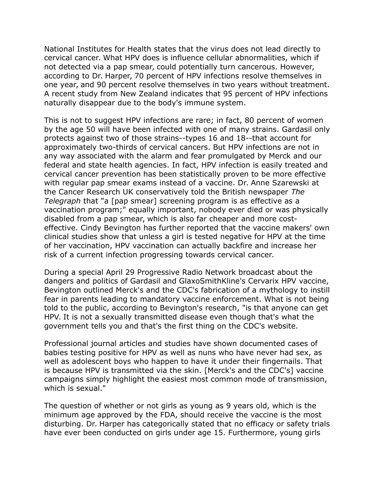National Institutes for Health states that the virus does not lead directly to cervical cancer. What HPV does is influence cellular abnormalities, which if not detected via a pap smear, could potentially turn cancerous. However, according to Dr. Harper, 70 percent of HPV infections resolve themselves in one year, and 90 percent resolve themselves in two years without treatment. A recent study from New Zealand indicates that 95 percent of HPV infections naturally disappear due to the body's immune system.

This is not to suggest HPV infections are rare; in fact, 80 percent of women by the age 50 will have been infected with one of many strains. Gardasil only protects against two of those strains--types 16 and 18--that account for approximately two-thirds of cervical cancers. But HPV infections are not in any way associated with the alarm and fear promulgated by Merck and our federal and state health agencies. In fact, HPV infection is easily treated and cervical cancer prevention has been statistically proven to be more effective with regular pap smear exams instead of a vaccine. Dr. Anne Szarewski at the Cancer Research UK conservatively told the British newspaper *The Telegraph* that "a [pap smear] screening program is as effective as a vaccination program;" equally important, nobody ever died or was physically disabled from a pap smear, which is also far cheaper and more costeffective. Cindy Bevington has further reported that the vaccine makers' own clinical studies show that unless a girl is tested negative for HPV at the time of her vaccination, HPV vaccination can actually backfire and increase her risk of a current infection progressing towards cervical cancer.

During a special April 29 Progressive Radio Network broadcast about the dangers and politics of Gardasil and GlaxoSmithKline's Cervarix HPV vaccine, Bevington outlined Merck's and the CDC's fabrication of a mythology to instill fear in parents leading to mandatory vaccine enforcement. What is not being told to the public, according to Bevington's research, "is that anyone can get HPV. It is not a sexually transmitted disease even though that's what the government tells you and that's the first thing on the CDC's website.

Professional journal articles and studies have shown documented cases of babies testing positive for HPV as well as nuns who have never had sex, as well as adolescent boys who happen to have it under their fingernails. That is because HPV is transmitted via the skin. [Merck's and the CDC's] vaccine campaigns simply highlight the easiest most common mode of transmission, which is sexual."

The question of whether or not girls as young as 9 years old, which is the minimum age approved by the FDA, should receive the vaccine is the most disturbing. Dr. Harper has categorically stated that no efficacy or safety trials have ever been conducted on girls under age 15. Furthermore, young girls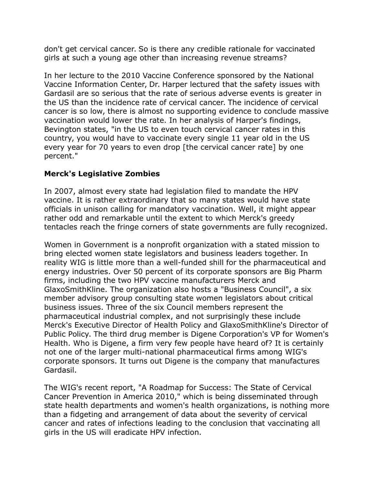don't get cervical cancer. So is there any credible rationale for vaccinated girls at such a young age other than increasing revenue streams?

In her lecture to the 2010 Vaccine Conference sponsored by the National Vaccine Information Center, Dr. Harper lectured that the safety issues with Gardasil are so serious that the rate of serious adverse events is greater in the US than the incidence rate of cervical cancer. The incidence of cervical cancer is so low, there is almost no supporting evidence to conclude massive vaccination would lower the rate. In her analysis of Harper's findings, Bevington states, "in the US to even touch cervical cancer rates in this country, you would have to vaccinate every single 11 year old in the US every year for 70 years to even drop [the cervical cancer rate] by one percent."

## **Merck's Legislative Zombies**

In 2007, almost every state had legislation filed to mandate the HPV vaccine. It is rather extraordinary that so many states would have state officials in unison calling for mandatory vaccination. Well, it might appear rather odd and remarkable until the extent to which Merck's greedy tentacles reach the fringe corners of state governments are fully recognized.

Women in Government is a nonprofit organization with a stated mission to bring elected women state legislators and business leaders together. In reality WIG is little more than a well-funded shill for the pharmaceutical and energy industries. Over 50 percent of its corporate sponsors are Big Pharm firms, including the two HPV vaccine manufacturers Merck and GlaxoSmithKline. The organization also hosts a "Business Council", a six member advisory group consulting state women legislators about critical business issues. Three of the six Council members represent the pharmaceutical industrial complex, and not surprisingly these include Merck's Executive Director of Health Policy and GlaxoSmithKline's Director of Public Policy. The third drug member is Digene Corporation's VP for Women's Health. Who is Digene, a firm very few people have heard of? It is certainly not one of the larger multi-national pharmaceutical firms among WIG's corporate sponsors. It turns out Digene is the company that manufactures Gardasil.

The WIG's recent report, "A Roadmap for Success: The State of Cervical Cancer Prevention in America 2010," which is being disseminated through state health departments and women's health organizations, is nothing more than a fidgeting and arrangement of data about the severity of cervical cancer and rates of infections leading to the conclusion that vaccinating all girls in the US will eradicate HPV infection.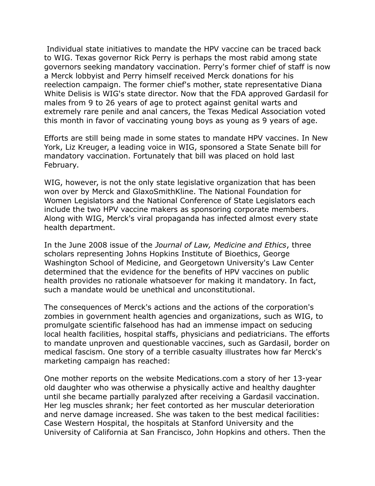Individual state initiatives to mandate the HPV vaccine can be traced back to WIG. Texas governor Rick Perry is perhaps the most rabid among state governors seeking mandatory vaccination. Perry's former chief of staff is now a Merck lobbyist and Perry himself received Merck donations for his reelection campaign. The former chief's mother, state representative Diana White Delisis is WIG's state director. Now that the FDA approved Gardasil for males from 9 to 26 years of age to protect against genital warts and extremely rare penile and anal cancers, the Texas Medical Association voted this month in favor of vaccinating young boys as young as 9 years of age.

Efforts are still being made in some states to mandate HPV vaccines. In New York, Liz Kreuger, a leading voice in WIG, sponsored a State Senate bill for mandatory vaccination. Fortunately that bill was placed on hold last February.

WIG, however, is not the only state legislative organization that has been won over by Merck and GlaxoSmithKline. The National Foundation for Women Legislators and the National Conference of State Legislators each include the two HPV vaccine makers as sponsoring corporate members. Along with WIG, Merck's viral propaganda has infected almost every state health department.

In the June 2008 issue of the *Journal of Law, Medicine and Ethics*, three scholars representing Johns Hopkins Institute of Bioethics, George Washington School of Medicine, and Georgetown University's Law Center determined that the evidence for the benefits of HPV vaccines on public health provides no rationale whatsoever for making it mandatory. In fact, such a mandate would be unethical and unconstitutional.

The consequences of Merck's actions and the actions of the corporation's zombies in government health agencies and organizations, such as WIG, to promulgate scientific falsehood has had an immense impact on seducing local health facilities, hospital staffs, physicians and pediatricians. The efforts to mandate unproven and questionable vaccines, such as Gardasil, border on medical fascism. One story of a terrible casualty illustrates how far Merck's marketing campaign has reached:

One mother reports on the website Medications.com a story of her 13-year old daughter who was otherwise a physically active and healthy daughter until she became partially paralyzed after receiving a Gardasil vaccination. Her leg muscles shrank; her feet contorted as her muscular deterioration and nerve damage increased. She was taken to the best medical facilities: Case Western Hospital, the hospitals at Stanford University and the University of California at San Francisco, John Hopkins and others. Then the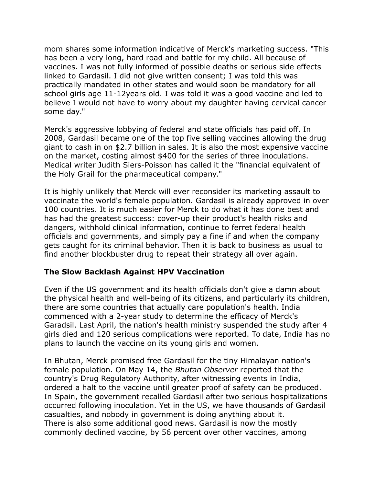mom shares some information indicative of Merck's marketing success. "This has been a very long, hard road and battle for my child. All because of vaccines. I was not fully informed of possible deaths or serious side effects linked to Gardasil. I did not give written consent; I was told this was practically mandated in other states and would soon be mandatory for all school girls age 11-12years old. I was told it was a good vaccine and led to believe I would not have to worry about my daughter having cervical cancer some day."

Merck's aggressive lobbying of federal and state officials has paid off. In 2008, Gardasil became one of the top five selling vaccines allowing the drug giant to cash in on \$2.7 billion in sales. It is also the most expensive vaccine on the market, costing almost \$400 for the series of three inoculations. Medical writer Judith Siers-Poisson has called it the "financial equivalent of the Holy Grail for the pharmaceutical company."

It is highly unlikely that Merck will ever reconsider its marketing assault to vaccinate the world's female population. Gardasil is already approved in over 100 countries. It is much easier for Merck to do what it has done best and has had the greatest success: cover-up their product's health risks and dangers, withhold clinical information, continue to ferret federal health officials and governments, and simply pay a fine if and when the company gets caught for its criminal behavior. Then it is back to business as usual to find another blockbuster drug to repeat their strategy all over again.

#### **The Slow Backlash Against HPV Vaccination**

Even if the US government and its health officials don't give a damn about the physical health and well-being of its citizens, and particularly its children, there are some countries that actually care population's health. India commenced with a 2-year study to determine the efficacy of Merck's Garadsil. Last April, the nation's health ministry suspended the study after 4 girls died and 120 serious complications were reported. To date, India has no plans to launch the vaccine on its young girls and women.

In Bhutan, Merck promised free Gardasil for the tiny Himalayan nation's female population. On May 14, the *Bhutan Observer* reported that the country's Drug Regulatory Authority, after witnessing events in India, ordered a halt to the vaccine until greater proof of safety can be produced. In Spain, the government recalled Gardasil after two serious hospitalizations occurred following inoculation. Yet in the US, we have thousands of Gardasil casualties, and nobody in government is doing anything about it. There is also some additional good news. Gardasil is now the mostly commonly declined vaccine, by 56 percent over other vaccines, among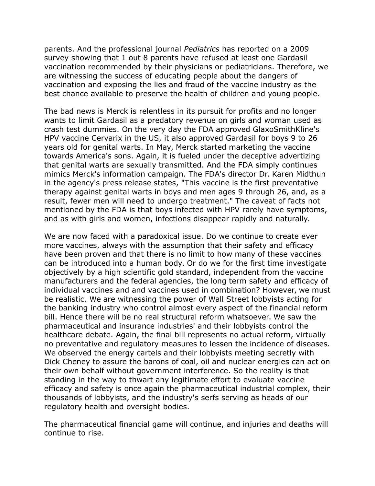parents. And the professional journal *Pediatrics* has reported on a 2009 survey showing that 1 out 8 parents have refused at least one Gardasil vaccination recommended by their physicians or pediatricians. Therefore, we are witnessing the success of educating people about the dangers of vaccination and exposing the lies and fraud of the vaccine industry as the best chance available to preserve the health of children and young people.

The bad news is Merck is relentless in its pursuit for profits and no longer wants to limit Gardasil as a predatory revenue on girls and woman used as crash test dummies. On the very day the FDA approved GlaxoSmithKline's HPV vaccine Cervarix in the US, it also approved Gardasil for boys 9 to 26 years old for genital warts. In May, Merck started marketing the vaccine towards America's sons. Again, it is fueled under the deceptive advertizing that genital warts are sexually transmitted. And the FDA simply continues mimics Merck's information campaign. The FDA's director Dr. Karen Midthun in the agency's press release states, "This vaccine is the first preventative therapy against genital warts in boys and men ages 9 through 26, and, as a result, fewer men will need to undergo treatment." The caveat of facts not mentioned by the FDA is that boys infected with HPV rarely have symptoms, and as with girls and women, infections disappear rapidly and naturally.

We are now faced with a paradoxical issue. Do we continue to create ever more vaccines, always with the assumption that their safety and efficacy have been proven and that there is no limit to how many of these vaccines can be introduced into a human body. Or do we for the first time investigate objectively by a high scientific gold standard, independent from the vaccine manufacturers and the federal agencies, the long term safety and efficacy of individual vaccines and and vaccines used in combination? However, we must be realistic. We are witnessing the power of Wall Street lobbyists acting for the banking industry who control almost every aspect of the financial reform bill. Hence there will be no real structural reform whatsoever. We saw the pharmaceutical and insurance industries' and their lobbyists control the healthcare debate. Again, the final bill represents no actual reform, virtually no preventative and regulatory measures to lessen the incidence of diseases. We observed the energy cartels and their lobbyists meeting secretly with Dick Cheney to assure the barons of coal, oil and nuclear energies can act on their own behalf without government interference. So the reality is that standing in the way to thwart any legitimate effort to evaluate vaccine efficacy and safety is once again the pharmaceutical industrial complex, their thousands of lobbyists, and the industry's serfs serving as heads of our regulatory health and oversight bodies.

The pharmaceutical financial game will continue, and injuries and deaths will continue to rise.